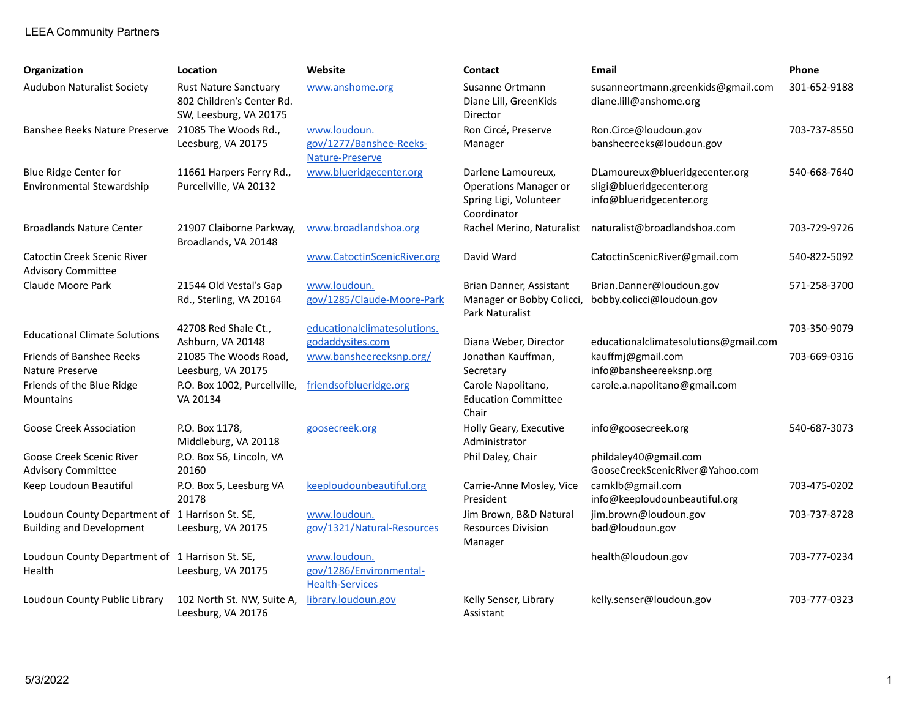## LEEA Community Partners

| Organization                                                                       | Location                                                                            | Website                                                           | <b>Contact</b>                                                                              | <b>Email</b>                                                                            | Phone        |
|------------------------------------------------------------------------------------|-------------------------------------------------------------------------------------|-------------------------------------------------------------------|---------------------------------------------------------------------------------------------|-----------------------------------------------------------------------------------------|--------------|
| <b>Audubon Naturalist Society</b>                                                  | <b>Rust Nature Sanctuary</b><br>802 Children's Center Rd.<br>SW, Leesburg, VA 20175 | www.anshome.org                                                   | Susanne Ortmann<br>Diane Lill, GreenKids<br>Director                                        | susanneortmann.greenkids@gmail.com<br>diane.lill@anshome.org                            | 301-652-9188 |
| Banshee Reeks Nature Preserve 21085 The Woods Rd.,                                 | Leesburg, VA 20175                                                                  | www.loudoun.<br>gov/1277/Banshee-Reeks-<br>Nature-Preserve        | Ron Circé, Preserve<br>Manager                                                              | Ron.Circe@loudoun.gov<br>bansheereeks@loudoun.gov                                       | 703-737-8550 |
| <b>Blue Ridge Center for</b><br>Environmental Stewardship                          | 11661 Harpers Ferry Rd.,<br>Purcellville, VA 20132                                  | www.blueridgecenter.org                                           | Darlene Lamoureux,<br><b>Operations Manager or</b><br>Spring Ligi, Volunteer<br>Coordinator | DLamoureux@blueridgecenter.org<br>sligi@blueridgecenter.org<br>info@blueridgecenter.org | 540-668-7640 |
| <b>Broadlands Nature Center</b>                                                    | 21907 Claiborne Parkway,<br>Broadlands, VA 20148                                    | www.broadlandshoa.org                                             | Rachel Merino, Naturalist                                                                   | naturalist@broadlandshoa.com                                                            | 703-729-9726 |
| <b>Catoctin Creek Scenic River</b><br><b>Advisory Committee</b>                    |                                                                                     | www.CatoctinScenicRiver.org                                       | David Ward                                                                                  | CatoctinScenicRiver@gmail.com                                                           | 540-822-5092 |
| Claude Moore Park                                                                  | 21544 Old Vestal's Gap<br>Rd., Sterling, VA 20164                                   | www.loudoun.<br>gov/1285/Claude-Moore-Park                        | Brian Danner, Assistant<br>Manager or Bobby Colicci,<br>Park Naturalist                     | Brian.Danner@loudoun.gov<br>bobby.colicci@loudoun.gov                                   | 571-258-3700 |
| <b>Educational Climate Solutions</b>                                               | 42708 Red Shale Ct.,<br>Ashburn, VA 20148                                           | educationalclimatesolutions.<br>godaddysites.com                  | Diana Weber, Director                                                                       | educationalclimatesolutions@gmail.com                                                   | 703-350-9079 |
| Friends of Banshee Reeks<br>Nature Preserve                                        | 21085 The Woods Road,<br>Leesburg, VA 20175                                         | www.bansheereeksnp.org/                                           | Jonathan Kauffman,<br>Secretary                                                             | kauffmj@gmail.com<br>info@bansheereeksnp.org                                            | 703-669-0316 |
| Friends of the Blue Ridge<br>Mountains                                             | P.O. Box 1002, Purcellville,<br>VA 20134                                            | friendsofblueridge.org                                            | Carole Napolitano,<br><b>Education Committee</b><br>Chair                                   | carole.a.napolitano@gmail.com                                                           |              |
| Goose Creek Association                                                            | P.O. Box 1178,<br>Middleburg, VA 20118                                              | goosecreek.org                                                    | Holly Geary, Executive<br>Administrator                                                     | info@goosecreek.org                                                                     | 540-687-3073 |
| Goose Creek Scenic River<br><b>Advisory Committee</b>                              | P.O. Box 56, Lincoln, VA<br>20160                                                   |                                                                   | Phil Daley, Chair                                                                           | phildaley40@gmail.com<br>GooseCreekScenicRiver@Yahoo.com                                |              |
| Keep Loudoun Beautiful                                                             | P.O. Box 5, Leesburg VA<br>20178                                                    | keeploudounbeautiful.org                                          | Carrie-Anne Mosley, Vice<br>President                                                       | camklb@gmail.com<br>info@keeploudounbeautiful.org                                       | 703-475-0202 |
| Loudoun County Department of 1 Harrison St. SE,<br><b>Building and Development</b> | Leesburg, VA 20175                                                                  | www.loudoun.<br>gov/1321/Natural-Resources                        | Jim Brown, B&D Natural<br><b>Resources Division</b><br>Manager                              | jim.brown@loudoun.gov<br>bad@loudoun.gov                                                | 703-737-8728 |
| Loudoun County Department of 1 Harrison St. SE,<br>Health                          | Leesburg, VA 20175                                                                  | www.loudoun.<br>gov/1286/Environmental-<br><b>Health-Services</b> |                                                                                             | health@loudoun.gov                                                                      | 703-777-0234 |
| Loudoun County Public Library                                                      | 102 North St. NW, Suite A,<br>Leesburg, VA 20176                                    | library.loudoun.gov                                               | Kelly Senser, Library<br>Assistant                                                          | kelly.senser@loudoun.gov                                                                | 703-777-0323 |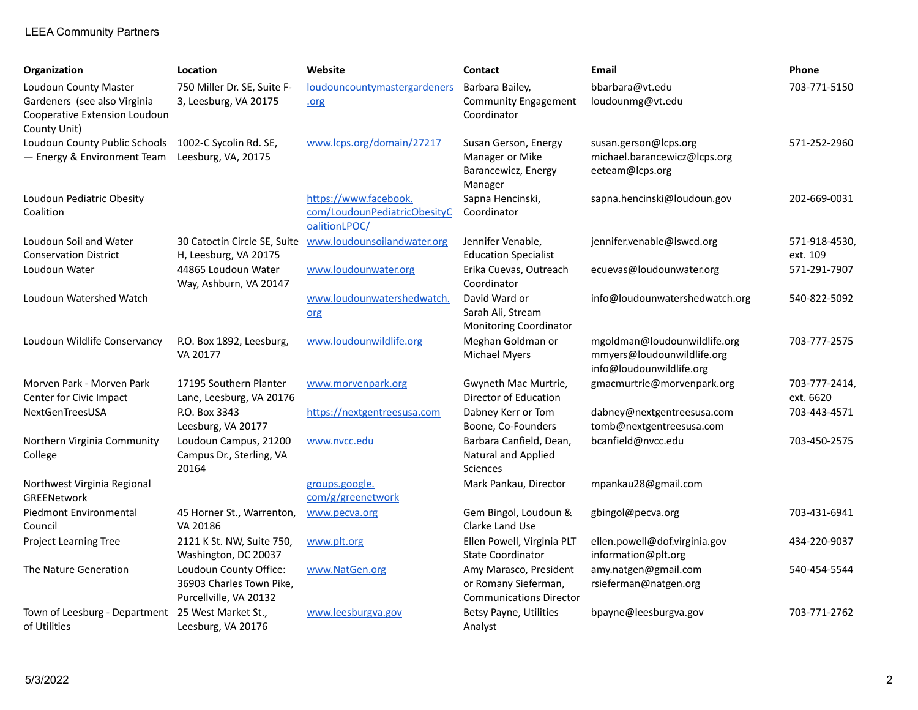## LEEA Community Partners

| Organization                                                                                           | Location                                                                     | Website                                                                | <b>Contact</b>                                                                   | <b>Email</b>                                                                           | Phone                      |
|--------------------------------------------------------------------------------------------------------|------------------------------------------------------------------------------|------------------------------------------------------------------------|----------------------------------------------------------------------------------|----------------------------------------------------------------------------------------|----------------------------|
| Loudoun County Master<br>Gardeners (see also Virginia<br>Cooperative Extension Loudoun<br>County Unit) | 750 Miller Dr. SE, Suite F-<br>3, Leesburg, VA 20175                         | loudouncountymastergardeners<br>.org                                   | Barbara Bailey,<br><b>Community Engagement</b><br>Coordinator                    | bbarbara@vt.edu<br>loudounmg@vt.edu                                                    | 703-771-5150               |
| Loudoun County Public Schools<br>- Energy & Environment Team                                           | 1002-C Sycolin Rd. SE,<br>Leesburg, VA, 20175                                | www.lcps.org/domain/27217                                              | Susan Gerson, Energy<br>Manager or Mike<br>Barancewicz, Energy<br>Manager        | susan.gerson@lcps.org<br>michael.barancewicz@lcps.org<br>eeteam@lcps.org               | 571-252-2960               |
| Loudoun Pediatric Obesity<br>Coalition                                                                 |                                                                              | https://www.facebook.<br>com/LoudounPediatricObesityC<br>oalitionLPOC/ | Sapna Hencinski,<br>Coordinator                                                  | sapna.hencinski@loudoun.gov                                                            | 202-669-0031               |
| Loudoun Soil and Water<br><b>Conservation District</b>                                                 | 30 Catoctin Circle SE, Suite<br>H, Leesburg, VA 20175                        | www.loudounsoilandwater.org                                            | Jennifer Venable,<br><b>Education Specialist</b>                                 | jennifer.venable@lswcd.org                                                             | 571-918-4530,<br>ext. 109  |
| Loudoun Water                                                                                          | 44865 Loudoun Water<br>Way, Ashburn, VA 20147                                | www.loudounwater.org                                                   | Erika Cuevas, Outreach<br>Coordinator                                            | ecuevas@loudounwater.org                                                               | 571-291-7907               |
| Loudoun Watershed Watch                                                                                |                                                                              | www.loudounwatershedwatch.<br>org                                      | David Ward or<br>Sarah Ali, Stream<br><b>Monitoring Coordinator</b>              | info@loudounwatershedwatch.org                                                         | 540-822-5092               |
| Loudoun Wildlife Conservancy                                                                           | P.O. Box 1892, Leesburg,<br>VA 20177                                         | www.loudounwildlife.org                                                | Meghan Goldman or<br><b>Michael Myers</b>                                        | mgoldman@loudounwildlife.org<br>mmyers@loudounwildlife.org<br>info@loudounwildlife.org | 703-777-2575               |
| Morven Park - Morven Park<br>Center for Civic Impact                                                   | 17195 Southern Planter<br>Lane, Leesburg, VA 20176                           | www.morvenpark.org                                                     | Gwyneth Mac Murtrie,<br>Director of Education                                    | gmacmurtrie@morvenpark.org                                                             | 703-777-2414,<br>ext. 6620 |
| NextGenTreesUSA                                                                                        | P.O. Box 3343<br>Leesburg, VA 20177                                          | https://nextgentreesusa.com                                            | Dabney Kerr or Tom<br>Boone, Co-Founders                                         | dabney@nextgentreesusa.com<br>tomb@nextgentreesusa.com                                 | 703-443-4571               |
| Northern Virginia Community<br>College                                                                 | Loudoun Campus, 21200<br>Campus Dr., Sterling, VA<br>20164                   | www.nvcc.edu                                                           | Barbara Canfield, Dean,<br>Natural and Applied<br><b>Sciences</b>                | bcanfield@nvcc.edu                                                                     | 703-450-2575               |
| Northwest Virginia Regional<br>GREENetwork                                                             |                                                                              | groups.google.<br>com/g/greenetwork                                    | Mark Pankau, Director                                                            | mpankau28@gmail.com                                                                    |                            |
| <b>Piedmont Environmental</b><br>Council                                                               | 45 Horner St., Warrenton,<br>VA 20186                                        | www.pecva.org                                                          | Gem Bingol, Loudoun &<br>Clarke Land Use                                         | gbingol@pecva.org                                                                      | 703-431-6941               |
| <b>Project Learning Tree</b>                                                                           | 2121 K St. NW, Suite 750,<br>Washington, DC 20037                            | www.plt.org                                                            | Ellen Powell, Virginia PLT<br><b>State Coordinator</b>                           | ellen.powell@dof.virginia.gov<br>information@plt.org                                   | 434-220-9037               |
| The Nature Generation                                                                                  | Loudoun County Office:<br>36903 Charles Town Pike,<br>Purcellville, VA 20132 | www.NatGen.org                                                         | Amy Marasco, President<br>or Romany Sieferman,<br><b>Communications Director</b> | amy.natgen@gmail.com<br>rsieferman@natgen.org                                          | 540-454-5544               |
| Town of Leesburg - Department<br>of Utilities                                                          | 25 West Market St.,<br>Leesburg, VA 20176                                    | www.leesburgva.gov                                                     | <b>Betsy Payne, Utilities</b><br>Analyst                                         | bpayne@leesburgva.gov                                                                  | 703-771-2762               |